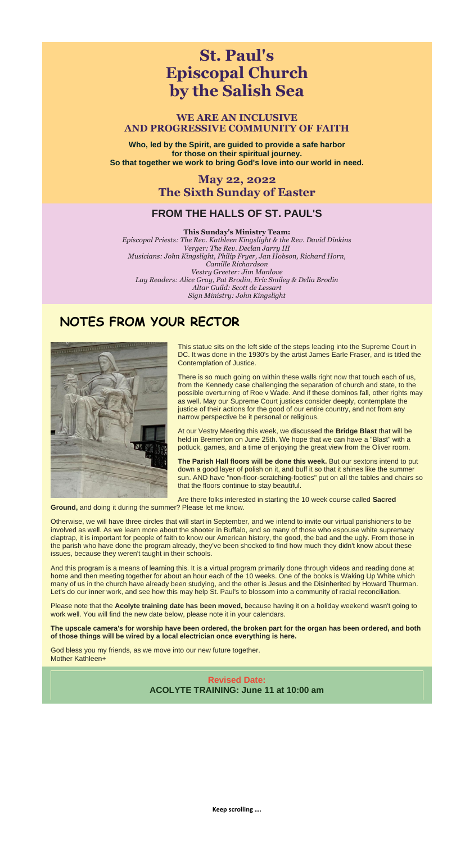# **St. Paul's Episcopal Church by the Salish Sea**

# **WE ARE AN INCLUSIVE AND PROGRESSIVE COMMUNITY OF FAITH**

**Who, led by the Spirit, are guided to provide a safe harbor for those on their spiritual journey. So that together we work to bring God's love into our world in need.**

> **May 22, 2022 The Sixth Sunday of Easter**

# **FROM THE HALLS OF ST. PAUL'S**

#### **This Sunday's Ministry Team:**

*Episcopal Priests: The Rev. Kathleen Kingslight & the Rev. David Dinkins Verger: The Rev. Declan Jarry III Musicians: John Kingslight, Philip Fryer, Jan Hobson, Richard Horn, Camille Richardson Vestry Greeter: Jim Manlove Lay Readers: Alice Gray, Pat Brodin, Eric Smiley & Delia Brodin Altar Guild: Scott de Lessart Sign Ministry: John Kingslight*

# **NOTES FROM YOUR RECTOR**



This statue sits on the left side of the steps leading into the Supreme Court in DC. It was done in the 1930's by the artist James Earle Fraser, and is titled the Contemplation of Justice.

There is so much going on within these walls right now that touch each of us, from the Kennedy case challenging the separation of church and state, to the possible overturning of Roe v Wade. And if these dominos fall, other rights may as well. May our Supreme Court justices consider deeply, contemplate the justice of their actions for the good of our entire country, and not from any narrow perspective be it personal or religious.

At our Vestry Meeting this week, we discussed the **Bridge Blast** that will be held in Bremerton on June 25th. We hope that we can have a "Blast" with a potluck, games, and a time of enjoying the great view from the Oliver room.

**The Parish Hall floors will be done this week.** But our sextons intend to put down a good layer of polish on it, and buff it so that it shines like the summer sun. AND have "non-floor-scratching-footies" put on all the tables and chairs so that the floors continue to stay beautiful.

Are there folks interested in starting the 10 week course called **Sacred** 

**Ground,** and doing it during the summer? Please let me know.

Otherwise, we will have three circles that will start in September, and we intend to invite our virtual parishioners to be involved as well. As we learn more about the shooter in Buffalo, and so many of those who espouse white supremacy claptrap, it is important for people of faith to know our American history, the good, the bad and the ugly. From those in the parish who have done the program already, they've been shocked to find how much they didn't know about these issues, because they weren't taught in their schools.

And this program is a means of learning this. It is a virtual program primarily done through videos and reading done at home and then meeting together for about an hour each of the 10 weeks. One of the books is Waking Up White which many of us in the church have already been studying, and the other is Jesus and the Disinherited by Howard Thurman. Let's do our inner work, and see how this may help St. Paul's to blossom into a community of racial reconciliation.

Please note that the **Acolyte training date has been moved,** because having it on a holiday weekend wasn't going to work well. You will find the new date below, please note it in your calendars.

#### **The upscale camera's for worship have been ordered, the broken part for the organ has been ordered, and both of those things will be wired by a local electrician once everything is here.**

God bless you my friends, as we move into our new future together. Mother Kathleen+

# **Revised Date: ACOLYTE TRAINING: June 11 at 10:00 am**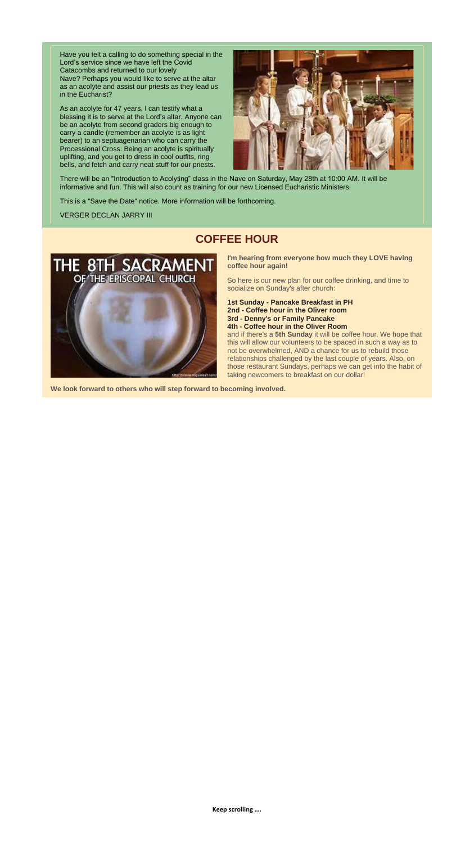**Keep scrolling ….**

Have you felt a calling to do something special in the Lord's service since we have left the Covid Catacombs and returned to our lovely Nave? Perhaps you would like to serve at the altar as an acolyte and assist our priests as they lead us in the Eucharist?

As an acolyte for 47 years, I can testify what a blessing it is to serve at the Lord's altar. Anyone can be an acolyte from second graders big enough to carry a candle (remember an acolyte is as light bearer) to an septuagenarian who can carry the Processional Cross. Being an acolyte is spiritually uplifting, and you get to dress in cool outfits, ring bells, and fetch and carry neat stuff for our priests.



There will be an "Introduction to Acolyting" class in the Nave on Saturday, May 28th at 10:00 AM. It will be informative and fun. This will also count as training for our new Licensed Eucharistic Ministers.

This is a "Save the Date" notice. More information will be forthcoming.

VERGER DECLAN JARRY III

# **COFFEE HOUR**



**I'm hearing from everyone how much they LOVE having coffee hour again!**

So here is our new plan for our coffee drinking, and time to socialize on Sunday's after church:

**1st Sunday - Pancake Breakfast in PH 2nd - Coffee hour in the Oliver room 3rd - Denny's or Family Pancake**

**4th - Coffee hour in the Oliver Room**

and if there's a **5th Sunday** it will be coffee hour. We hope that this will allow our volunteers to be spaced in such a way as to not be overwhelmed, AND a chance for us to rebuild those relationships challenged by the last couple of years. Also, on those restaurant Sundays, perhaps we can get into the habit of taking newcomers to breakfast on our dollar!

**We look forward to others who will step forward to becoming involved.**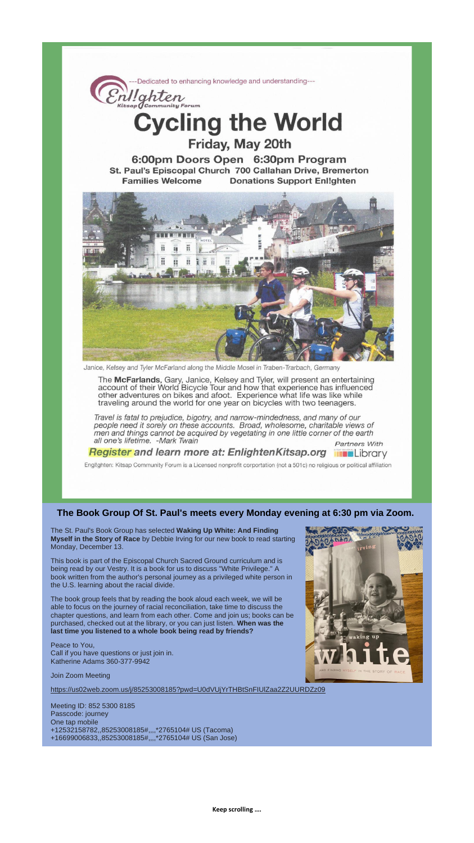Dedicated to enhancing knowledge and understanding---Enl!ghten **Cycling the World** Friday, May 20th 6:00pm Doors Open 6:30pm Program St. Paul's Episcopal Church 700 Callahan Drive, Bremerton **Families Welcome Donations Support Enl!ghten** 

Janice, Kelsey and Tyler McFarland along the Middle Mosel in Traben-Trarbach, Germany

The McFarlands, Gary, Janice, Kelsey and Tyler, will present an entertaining account of their World Bicycle Tour and how that experience has influenced other adventures on bikes and afoot. Experience what life was like while traveling around the world for one year on bicycles with two teenagers.

Travel is fatal to prejudice, bigotry, and narrow-mindedness, and many of our people need it sorely on these accounts. Broad, wholesome, charitable views of men and things cannot be acquired by vegetating in one little corner of the earth all one's lifetime. - Mark Twain

**Register and learn more at: EnlightenKitsap.org in a**Library

Partners With

Engl!ghten: Kitsap Community Forum is a Licensed nonprofit corportation (not a 501c) no religious or political affiliation

**The Book Group Of St. Paul's meets every Monday evening at 6:30 pm via Zoom.**

The St. Paul's Book Group has selected **Waking Up White: And Finding Myself in the Story of Race** by Debbie Irving for our new book to read starting Monday, December 13.

This book is part of the Episcopal Church Sacred Ground curriculum and is being read by our Vestry. It is a book for us to discuss "White Privilege." A book written from the author's personal journey as a privileged white person in the U.S. learning about the racial divide.

The book group feels that by reading the book aloud each week, we will be able to focus on the journey of racial reconciliation, take time to discuss the chapter questions, and learn from each other. Come and join us; books can be purchased, checked out at the library, or you can just listen. **When was the last time you listened to a whole book being read by friends?**

Peace to You, Call if you have questions or just join in. Katherine Adams 360-377-9942

Join Zoom Meeting

[https://us02web.zoom.us/j/85253008185?pwd=U0dVUjYrTHBtSnFIUlZaa2Z2UURDZz09](https://r20.rs6.net/tn.jsp?f=001smPzftrDGqcFRwaa3NJ8_3k9u2w3tubMRFVwYnM3vX0lTt90D1hyGDMbKUJMpPminrIIA9TX5u7W22w1_dPhhygQmFSsqAK4glJp14TsdLziTjWnuJHYmGVkVakuUKObIA0m_Af7K2qX6aaHH_oSx2NFVVt1oB8shVNdqI0lvm4P0Q5oQz__DDy-7nbvWjhdmmMVCs1H48XeSOo4J-1-tXOc2m24IfNU&c=Sz6pXFn8J9b-FcadEvElUioJ7YKByX6LkgUX8vIvaynQKKWnWSo_5g==&ch=O0Liy_TZjI0pcEB5f8NNIQC8AwgqnJfQ7KROS-Cl7LqLsJCoXvwMsQ==)

Meeting ID: 852 5300 8185 Passcode: journey One tap mobile +12532158782,,85253008185#,,,,\*2765104# US (Tacoma) +16699006833,,85253008185#,,,,\*2765104# US (San Jose)

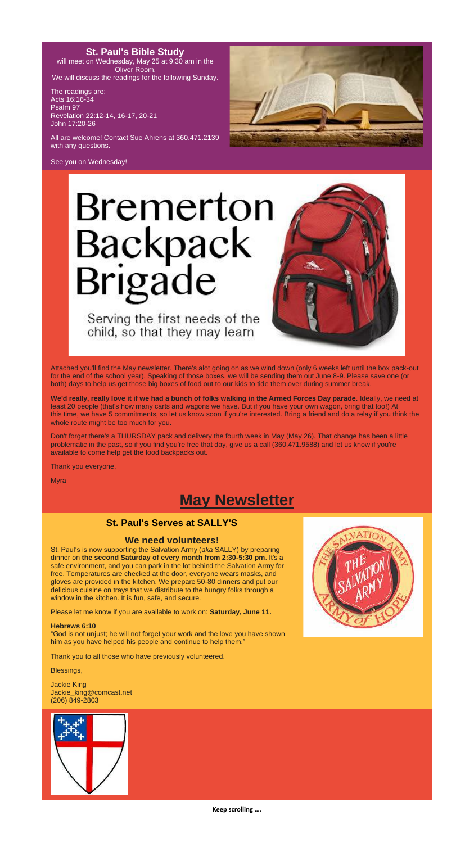**Keep scrolling ….**

# **St. Paul's Bible Study**

will meet on Wednesday, May 25 at 9:30 am in the Oliver Room. We will discuss the readings for the following Sunday.

The readings are: Acts 16:16-34 Psalm 97 Revelation 22:12-14, 16-17, 20-21 John 17:20-26

All are welcome! Contact Sue Ahrens at 360.471.2139 with any questions.



See you on Wednesday!

# Bremerton Backpack<br>Brigade

Serving the first needs of the child, so that they may learn



Attached you'll find the May newsletter. There's alot going on as we wind down (only 6 weeks left until the box pack-out for the end of the school year). Speaking of those boxes, we will be sending them out June 8-9. Please save one (or both) days to help us get those big boxes of food out to our kids to tide them over during summer break.

**We'd really, really love it if we had a bunch of folks walking in the Armed Forces Day parade.** Ideally, we need at least 20 people (that's how many carts and wagons we have. But if you have your own wagon, bring that too!) At this time, we have 5 commitments, so let us know soon if you're interested. Bring a friend and do a relay if you think the whole route might be too much for you.

Don't forget there's a THURSDAY pack and delivery the fourth week in May (May 26). That change has been a little problematic in the past, so if you find you're free that day, give us a call (360.471.9588) and let us know if you're available to come help get the food backpacks out.

Thank you everyone,

Myra



### **St. Paul's Serves at SALLY'S**

## **We need volunteers!**

St. Paul's is now supporting the Salvation Army (*aka* SALLY) by preparing dinner on **the second Saturday of every month from 2:30-5:30 pm**. It's a safe environment, and you can park in the lot behind the Salvation Army for free. Temperatures are checked at the door, everyone wears masks, and gloves are provided in the kitchen. We prepare 50-80 dinners and put our delicious cuisine on trays that we distribute to the hungry folks through a window in the kitchen. It is fun, safe, and secure.

Please let me know if you are available to work on: **Saturday, June 11.**

#### **Hebrews 6:10**

"God is not unjust; he will not forget your work and the love you have shown him as you have helped his people and continue to help them."

Thank you to all those who have previously volunteered.

Blessings,

Jackie King [Jackie\\_king@comcast.net](mailto:Jackie_king@comcast.net) (206) 849-2803